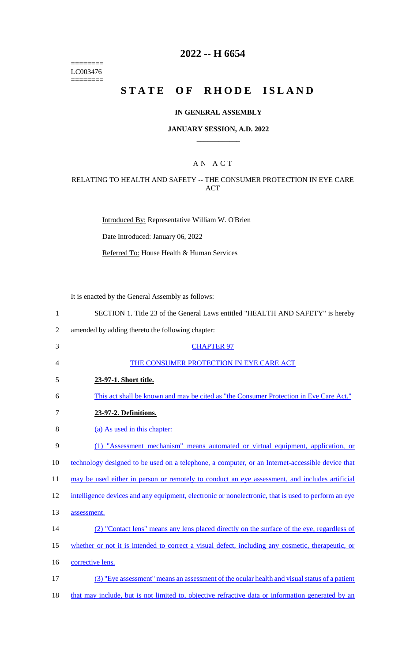======== LC003476  $=$ 

# **2022 -- H 6654**

# **STATE OF RHODE ISLAND**

### **IN GENERAL ASSEMBLY**

### **JANUARY SESSION, A.D. 2022 \_\_\_\_\_\_\_\_\_\_\_\_**

### A N A C T

### RELATING TO HEALTH AND SAFETY -- THE CONSUMER PROTECTION IN EYE CARE ACT

Introduced By: Representative William W. O'Brien

Date Introduced: January 06, 2022

Referred To: House Health & Human Services

It is enacted by the General Assembly as follows:

| $\mathbf{1}$   | SECTION 1. Title 23 of the General Laws entitled "HEALTH AND SAFETY" is hereby                      |
|----------------|-----------------------------------------------------------------------------------------------------|
| $\overline{2}$ | amended by adding thereto the following chapter:                                                    |
| 3              | <b>CHAPTER 97</b>                                                                                   |
| 4              | THE CONSUMER PROTECTION IN EYE CARE ACT                                                             |
| 5              | 23-97-1. Short title.                                                                               |
| 6              | This act shall be known and may be cited as "the Consumer Protection in Eye Care Act."              |
| $\tau$         | 23-97-2. Definitions.                                                                               |
| 8              | (a) As used in this chapter:                                                                        |
| 9              | (1) "Assessment mechanism" means automated or virtual equipment, application, or                    |
| 10             | technology designed to be used on a telephone, a computer, or an Internet-accessible device that    |
| 11             | may be used either in person or remotely to conduct an eye assessment, and includes artificial      |
| 12             | intelligence devices and any equipment, electronic or nonelectronic, that is used to perform an eye |
| 13             | assessment.                                                                                         |
| 14             | (2) "Contact lens" means any lens placed directly on the surface of the eye, regardless of          |
| 15             | whether or not it is intended to correct a visual defect, including any cosmetic, therapeutic, or   |
| 16             | corrective lens.                                                                                    |
| 17             | (3) "Eye assessment" means an assessment of the ocular health and visual status of a patient        |
| 18             | that may include, but is not limited to, objective refractive data or information generated by an   |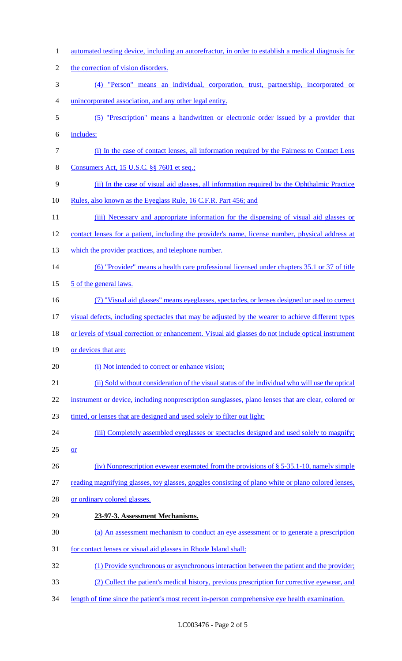automated testing device, including an autorefractor, in order to establish a medical diagnosis for 2 the correction of vision disorders. (4) "Person" means an individual, corporation, trust, partnership, incorporated or unincorporated association, and any other legal entity. (5) "Prescription" means a handwritten or electronic order issued by a provider that includes: (i) In the case of contact lenses, all information required by the Fairness to Contact Lens 8 Consumers Act, 15 U.S.C. §§ 7601 et seq.; (ii) In the case of visual aid glasses, all information required by the Ophthalmic Practice 10 Rules, also known as the Eyeglass Rule, 16 C.F.R. Part 456; and 11 (iii) Necessary and appropriate information for the dispensing of visual aid glasses or contact lenses for a patient, including the provider's name, license number, physical address at 13 which the provider practices, and telephone number. (6) "Provider" means a health care professional licensed under chapters 35.1 or 37 of title 15 5 of the general laws. (7) "Visual aid glasses" means eyeglasses, spectacles, or lenses designed or used to correct visual defects, including spectacles that may be adjusted by the wearer to achieve different types 18 or levels of visual correction or enhancement. Visual aid glasses do not include optical instrument 19 or devices that are: 20 (i) Not intended to correct or enhance vision; (ii) Sold without consideration of the visual status of the individual who will use the optical 22 instrument or device, including nonprescription sunglasses, plano lenses that are clear, colored or tinted, or lenses that are designed and used solely to filter out light; 24 (iii) Completely assembled eyeglasses or spectacles designed and used solely to magnify;  $25 \quad or$  (iv) Nonprescription eyewear exempted from the provisions of § 5-35.1-10, namely simple reading magnifying glasses, toy glasses, goggles consisting of plano white or plano colored lenses, or ordinary colored glasses. **23-97-3. Assessment Mechanisms.**  (a) An assessment mechanism to conduct an eye assessment or to generate a prescription for contact lenses or visual aid glasses in Rhode Island shall: (1) Provide synchronous or asynchronous interaction between the patient and the provider; (2) Collect the patient's medical history, previous prescription for corrective eyewear, and length of time since the patient's most recent in-person comprehensive eye health examination.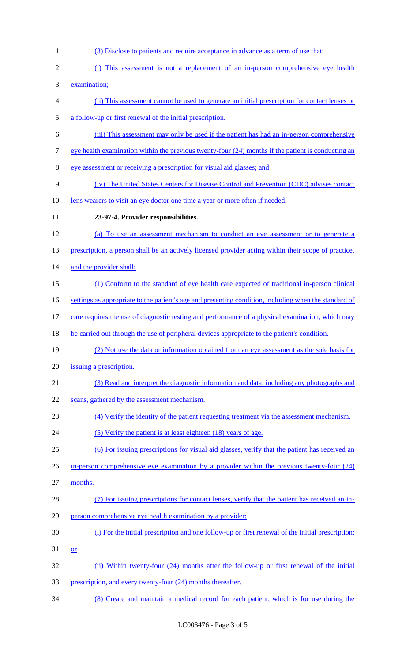examination; (ii) This assessment cannot be used to generate an initial prescription for contact lenses or a follow-up or first renewal of the initial prescription. (iii) This assessment may only be used if the patient has had an in-person comprehensive 7 eye health examination within the previous twenty-four (24) months if the patient is conducting an eye assessment or receiving a prescription for visual aid glasses; and (iv) The United States Centers for Disease Control and Prevention (CDC) advises contact 10 lens wearers to visit an eye doctor one time a year or more often if needed. **23-97-4. Provider responsibilities.**  (a) To use an assessment mechanism to conduct an eye assessment or to generate a 13 prescription, a person shall be an actively licensed provider acting within their scope of practice, 14 and the provider shall: (1) Conform to the standard of eye health care expected of traditional in-person clinical 16 settings as appropriate to the patient's age and presenting condition, including when the standard of 17 care requires the use of diagnostic testing and performance of a physical examination, which may 18 be carried out through the use of peripheral devices appropriate to the patient's condition. (2) Not use the data or information obtained from an eye assessment as the sole basis for issuing a prescription. (3) Read and interpret the diagnostic information and data, including any photographs and 22 scans, gathered by the assessment mechanism. (4) Verify the identity of the patient requesting treatment via the assessment mechanism. 24 (5) Verify the patient is at least eighteen (18) years of age. (6) For issuing prescriptions for visual aid glasses, verify that the patient has received an 26 in-person comprehensive eye examination by a provider within the previous twenty-four (24) months. (7) For issuing prescriptions for contact lenses, verify that the patient has received an in-person comprehensive eye health examination by a provider:

(3) Disclose to patients and require acceptance in advance as a term of use that:

(i) This assessment is not a replacement of an in-person comprehensive eye health

- (i) For the initial prescription and one follow-up or first renewal of the initial prescription; or
- (ii) Within twenty-four (24) months after the follow-up or first renewal of the initial
- 33 prescription, and every twenty-four (24) months thereafter.
- (8) Create and maintain a medical record for each patient, which is for use during the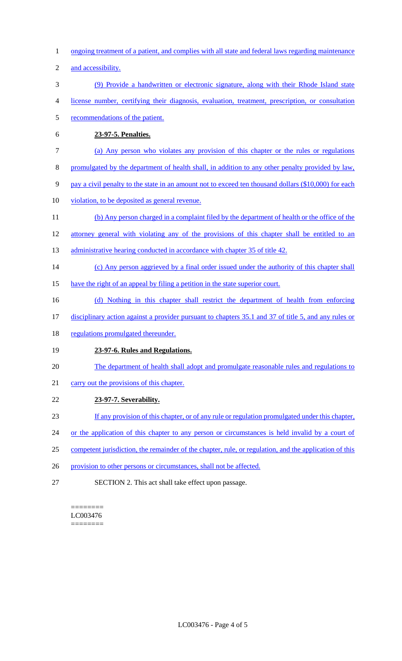- 1 ongoing treatment of a patient, and complies with all state and federal laws regarding maintenance
- 2 and accessibility.
- 3 (9) Provide a handwritten or electronic signature, along with their Rhode Island state
- 4 license number, certifying their diagnosis, evaluation, treatment, prescription, or consultation
- 5 recommendations of the patient.
- 6 **23-97-5. Penalties.**
- 7 (a) Any person who violates any provision of this chapter or the rules or regulations
- 8 promulgated by the department of health shall, in addition to any other penalty provided by law,
- 9 pay a civil penalty to the state in an amount not to exceed ten thousand dollars (\$10,000) for each
- 10 violation, to be deposited as general revenue.
- 11 (b) Any person charged in a complaint filed by the department of health or the office of the
- 12 attorney general with violating any of the provisions of this chapter shall be entitled to an
- 13 administrative hearing conducted in accordance with chapter 35 of title 42.
- 14 (c) Any person aggrieved by a final order issued under the authority of this chapter shall
- 15 have the right of an appeal by filing a petition in the state superior court.
- 16 (d) Nothing in this chapter shall restrict the department of health from enforcing
- 17 disciplinary action against a provider pursuant to chapters 35.1 and 37 of title 5, and any rules or
- 18 regulations promulgated thereunder.

# 19 **23-97-6. Rules and Regulations.**

- 20 The department of health shall adopt and promulgate reasonable rules and regulations to
- 21 carry out the provisions of this chapter.
- 22 **23-97-7. Severability.**
- 23 If any provision of this chapter, or of any rule or regulation promulgated under this chapter,
- 24 or the application of this chapter to any person or circumstances is held invalid by a court of
- 25 competent jurisdiction, the remainder of the chapter, rule, or regulation, and the application of this
- 26 provision to other persons or circumstances, shall not be affected.
- 27 SECTION 2. This act shall take effect upon passage.

#### ======== LC003476 ========